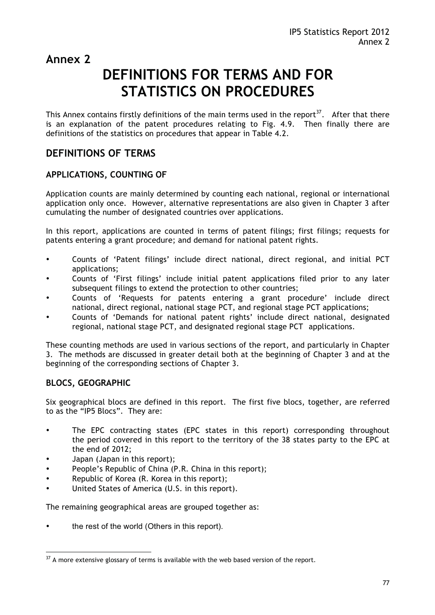### **Annex 2**

# **DEFINITIONS FOR TERMS AND FOR STATISTICS ON PROCEDURES**

This Annex contains firstly definitions of the main terms used in the report<sup>37</sup>. After that there is an explanation of the patent procedures relating to Fig. 4.9. Then finally there are definitions of the statistics on procedures that appear in Table 4.2.

### **DEFINITIONS OF TERMS**

# **APPLICATIONS, COUNTING OF**

Application counts are mainly determined by counting each national, regional or international application only once. However, alternative representations are also given in Chapter 3 after cumulating the number of designated countries over applications.

In this report, applications are counted in terms of patent filings; first filings; requests for patents entering a grant procedure; and demand for national patent rights.

- Counts of 'Patent filings' include direct national, direct regional, and initial PCT applications;
- Counts of 'First filings' include initial patent applications filed prior to any later subsequent filings to extend the protection to other countries;
- Counts of 'Requests for patents entering a grant procedure' include direct national, direct regional, national stage PCT, and regional stage PCT applications;
- Counts of 'Demands for national patent rights' include direct national, designated regional, national stage PCT, and designated regional stage PCT applications.

These counting methods are used in various sections of the report, and particularly in Chapter 3. The methods are discussed in greater detail both at the beginning of Chapter 3 and at the beginning of the corresponding sections of Chapter 3.

# **BLOCS, GEOGRAPHIC**

 $\overline{a}$ 

Six geographical blocs are defined in this report. The first five blocs, together, are referred to as the "IP5 Blocs". They are:

- The EPC contracting states (EPC states in this report) corresponding throughout the period covered in this report to the territory of the 38 states party to the EPC at the end of 2012;
- Japan (Japan in this report);
- People's Republic of China (P.R. China in this report);
- Republic of Korea (R. Korea in this report);
- United States of America (U.S. in this report).

The remaining geographical areas are grouped together as:

the rest of the world (Others in this report).

 $37$  A more extensive glossary of terms is available with the web based version of the report.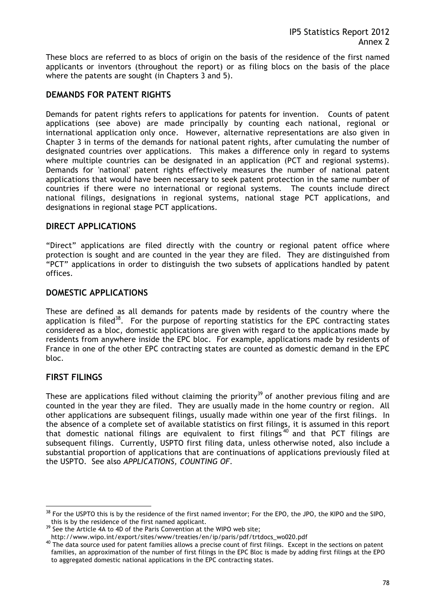These blocs are referred to as blocs of origin on the basis of the residence of the first named applicants or inventors (throughout the report) or as filing blocs on the basis of the place where the patents are sought (in Chapters 3 and 5).

#### **DEMANDS FOR PATENT RIGHTS**

Demands for patent rights refers to applications for patents for invention. Counts of patent applications (see above) are made principally by counting each national, regional or international application only once. However, alternative representations are also given in Chapter 3 in terms of the demands for national patent rights, after cumulating the number of designated countries over applications. This makes a difference only in regard to systems where multiple countries can be designated in an application (PCT and regional systems). Demands for 'national' patent rights effectively measures the number of national patent applications that would have been necessary to seek patent protection in the same number of countries if there were no international or regional systems. The counts include direct national filings, designations in regional systems, national stage PCT applications, and designations in regional stage PCT applications.

#### **DIRECT APPLICATIONS**

"Direct" applications are filed directly with the country or regional patent office where protection is sought and are counted in the year they are filed. They are distinguished from "PCT" applications in order to distinguish the two subsets of applications handled by patent offices.

#### **DOMESTIC APPLICATIONS**

These are defined as all demands for patents made by residents of the country where the application is filed<sup>38</sup>. For the purpose of reporting statistics for the EPC contracting states considered as a bloc, domestic applications are given with regard to the applications made by residents from anywhere inside the EPC bloc. For example, applications made by residents of France in one of the other EPC contracting states are counted as domestic demand in the EPC bloc.

#### **FIRST FILINGS**

 $\overline{a}$ 

These are applications filed without claiming the priority<sup>39</sup> of another previous filing and are counted in the year they are filed. They are usually made in the home country or region. All other applications are subsequent filings, usually made within one year of the first filings. In the absence of a complete set of available statistics on first filings, it is assumed in this report that domestic national filings are equivalent to first filings  $40$  and that PCT filings are subsequent filings. Currently, USPTO first filing data, unless otherwise noted, also include a substantial proportion of applications that are continuations of applications previously filed at the USPTO. See also *APPLICATIONS, COUNTING OF*.

 $38$  For the USPTO this is by the residence of the first named inventor; For the EPO, the JPO, the KIPO and the SIPO, this is by the residence of the first named applicant.

<sup>&</sup>lt;sup>39</sup> See the Article 4A to 4D of the Paris Convention at the WIPO web site;<br>http://www.wipo.int/export/sites/www/treaties/en/ip/paris/pdf/trtdocs\_wo020.pdf

and the procurres interations in participate in the summer of the sount of first filings. Except in the sections on patent 40 The data source used for patent families, an approximation of the number of first filings in the EPC Bloc is made by adding first filings at the EPO to aggregated domestic national applications in the EPC contracting states.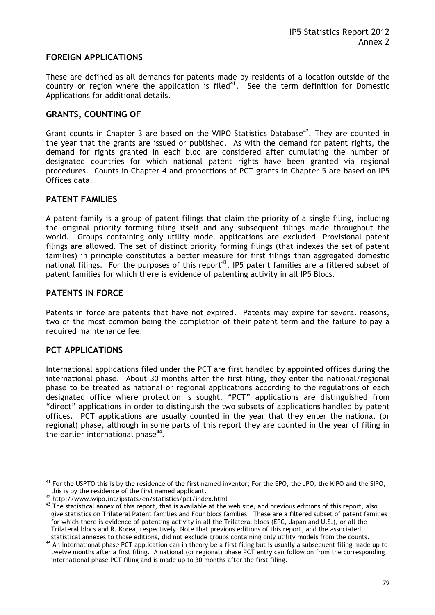# **FOREIGN APPLICATIONS**

These are defined as all demands for patents made by residents of a location outside of the country or region where the application is filed<sup>41</sup>. See the term definition for Domestic Applications for additional details.

### **GRANTS, COUNTING OF**

Grant counts in Chapter 3 are based on the WIPO Statistics Database<sup>42</sup>. They are counted in the year that the grants are issued or published. As with the demand for patent rights, the demand for rights granted in each bloc are considered after cumulating the number of designated countries for which national patent rights have been granted via regional procedures. Counts in Chapter 4 and proportions of PCT grants in Chapter 5 are based on IP5 Offices data.

#### **PATENT FAMILIES**

A patent family is a group of patent filings that claim the priority of a single filing, including the original priority forming filing itself and any subsequent filings made throughout the world. Groups containing only utility model applications are excluded. Provisional patent filings are allowed. The set of distinct priority forming filings (that indexes the set of patent families) in principle constitutes a better measure for first filings than aggregated domestic national filings. For the purposes of this report<sup>43</sup>, IP5 patent families are a filtered subset of patent families for which there is evidence of patenting activity in all IP5 Blocs.

#### **PATENTS IN FORCE**

Patents in force are patents that have not expired. Patents may expire for several reasons, two of the most common being the completion of their patent term and the failure to pay a required maintenance fee.

#### **PCT APPLICATIONS**

 $\overline{a}$ 

International applications filed under the PCT are first handled by appointed offices during the international phase. About 30 months after the first filing, they enter the national/regional phase to be treated as national or regional applications according to the regulations of each designated office where protection is sought. "PCT" applications are distinguished from "direct" applications in order to distinguish the two subsets of applications handled by patent offices. PCT applications are usually counted in the year that they enter the national (or regional) phase, although in some parts of this report they are counted in the year of filing in the earlier international phase $44$ .

<sup>&</sup>lt;sup>41</sup> For the USPTO this is by the residence of the first named inventor; For the EPO, the JPO, the KIPO and the SIPO, this is by the residence of the first named applicant.

<sup>&</sup>lt;sup>42</sup> http://www.wipo.int/ipstats/en/statistics/pct/index.html<br><sup>43</sup> The statistical annex of this report, that is available at the web site, and previous editions of this report, also give statistics on Trilateral Patent families and Four blocs families. These are a filtered subset of patent families for which there is evidence of patenting activity in all the Trilateral blocs (EPC, Japan and U.S.), or all the Trilateral blocs and R. Korea, respectively. Note that previous editions of this report, and the associated

statistical annexes to those editions, did not exclude groups containing only utility models from the counts.<br><sup>44</sup> An international phase PCT application can in theory be a first filing but is usually a subsequent filing m twelve months after a first filing. A national (or regional) phase PCT entry can follow on from the corresponding international phase PCT filing and is made up to 30 months after the first filing.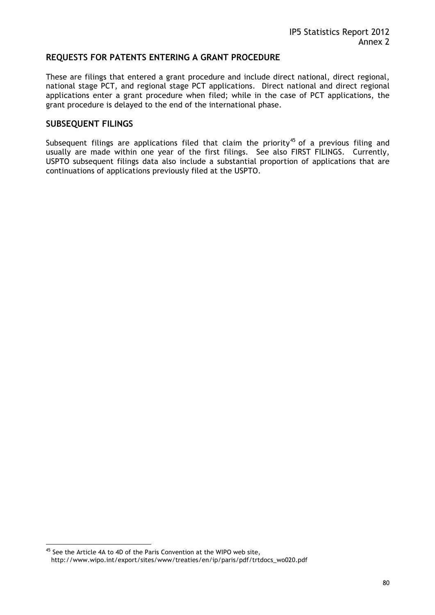# **REQUESTS FOR PATENTS ENTERING A GRANT PROCEDURE**

These are filings that entered a grant procedure and include direct national, direct regional, national stage PCT, and regional stage PCT applications. Direct national and direct regional applications enter a grant procedure when filed; while in the case of PCT applications, the grant procedure is delayed to the end of the international phase.

# **SUBSEQUENT FILINGS**

 $\overline{a}$ 

Subsequent filings are applications filed that claim the priority<sup>45</sup> of a previous filing and usually are made within one year of the first filings. See also FIRST FILINGS. Currently, USPTO subsequent filings data also include a substantial proportion of applications that are continuations of applications previously filed at the USPTO.

<sup>&</sup>lt;sup>45</sup> See the Article 4A to 4D of the Paris Convention at the WIPO web site, http://www.wipo.int/export/sites/www/treaties/en/ip/paris/pdf/trtdocs\_wo020.pdf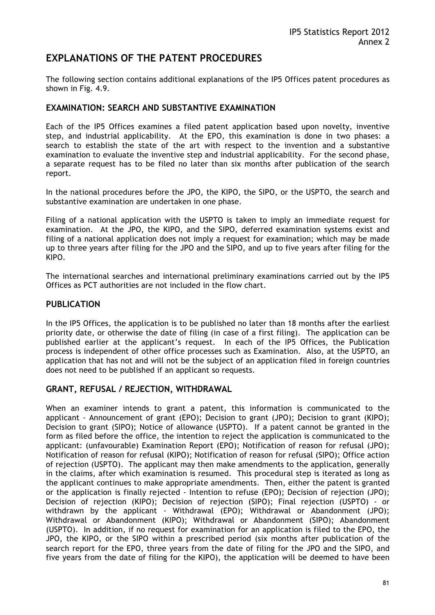### **EXPLANATIONS OF THE PATENT PROCEDURES**

The following section contains additional explanations of the IP5 Offices patent procedures as shown in Fig. 4.9.

#### **EXAMINATION: SEARCH AND SUBSTANTIVE EXAMINATION**

Each of the IP5 Offices examines a filed patent application based upon novelty, inventive step, and industrial applicability. At the EPO, this examination is done in two phases: a search to establish the state of the art with respect to the invention and a substantive examination to evaluate the inventive step and industrial applicability. For the second phase, a separate request has to be filed no later than six months after publication of the search report.

In the national procedures before the JPO, the KIPO, the SIPO, or the USPTO, the search and substantive examination are undertaken in one phase.

Filing of a national application with the USPTO is taken to imply an immediate request for examination. At the JPO, the KIPO, and the SIPO, deferred examination systems exist and filing of a national application does not imply a request for examination; which may be made up to three years after filing for the JPO and the SIPO, and up to five years after filing for the KIPO.

The international searches and international preliminary examinations carried out by the IP5 Offices as PCT authorities are not included in the flow chart.

#### **PUBLICATION**

In the IP5 Offices, the application is to be published no later than 18 months after the earliest priority date, or otherwise the date of filing (in case of a first filing). The application can be published earlier at the applicant's request. In each of the IP5 Offices, the Publication process is independent of other office processes such as Examination. Also, at the USPTO, an application that has not and will not be the subject of an application filed in foreign countries does not need to be published if an applicant so requests.

### **GRANT, REFUSAL / REJECTION, WITHDRAWAL**

When an examiner intends to grant a patent, this information is communicated to the applicant - Announcement of grant (EPO); Decision to grant (JPO); Decision to grant (KIPO); Decision to grant (SIPO); Notice of allowance (USPTO). If a patent cannot be granted in the form as filed before the office, the intention to reject the application is communicated to the applicant: (unfavourable) Examination Report (EPO); Notification of reason for refusal (JPO); Notification of reason for refusal (KIPO); Notification of reason for refusal (SIPO); Office action of rejection (USPTO). The applicant may then make amendments to the application, generally in the claims, after which examination is resumed. This procedural step is iterated as long as the applicant continues to make appropriate amendments. Then, either the patent is granted or the application is finally rejected - Intention to refuse (EPO); Decision of rejection (JPO); Decision of rejection (KIPO); Decision of rejection (SIPO); Final rejection (USPTO) - or withdrawn by the applicant - Withdrawal (EPO); Withdrawal or Abandonment (JPO); Withdrawal or Abandonment (KIPO); Withdrawal or Abandonment (SIPO); Abandonment (USPTO). In addition, if no request for examination for an application is filed to the EPO, the JPO, the KIPO, or the SIPO within a prescribed period (six months after publication of the search report for the EPO, three years from the date of filing for the JPO and the SIPO, and five years from the date of filing for the KIPO), the application will be deemed to have been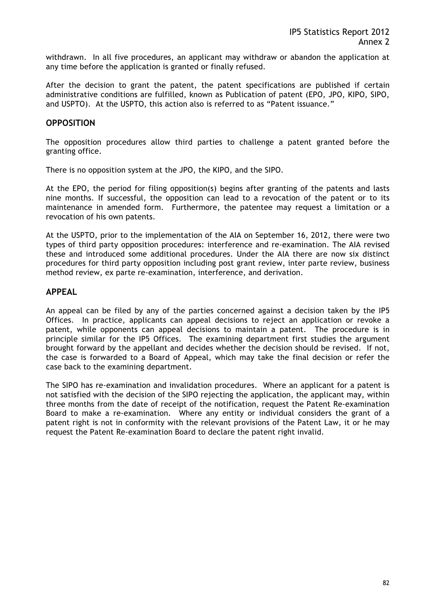withdrawn. In all five procedures, an applicant may withdraw or abandon the application at any time before the application is granted or finally refused.

After the decision to grant the patent, the patent specifications are published if certain administrative conditions are fulfilled, known as Publication of patent (EPO, JPO, KIPO, SIPO, and USPTO). At the USPTO, this action also is referred to as "Patent issuance."

#### **OPPOSITION**

The opposition procedures allow third parties to challenge a patent granted before the granting office.

There is no opposition system at the JPO, the KIPO, and the SIPO.

At the EPO, the period for filing opposition(s) begins after granting of the patents and lasts nine months. If successful, the opposition can lead to a revocation of the patent or to its maintenance in amended form. Furthermore, the patentee may request a limitation or a revocation of his own patents.

At the USPTO, prior to the implementation of the AIA on September 16, 2012, there were two types of third party opposition procedures: interference and re-examination. The AIA revised these and introduced some additional procedures. Under the AIA there are now six distinct procedures for third party opposition including post grant review, inter parte review, business method review, ex parte re-examination, interference, and derivation.

#### **APPEAL**

An appeal can be filed by any of the parties concerned against a decision taken by the IP5 Offices. In practice, applicants can appeal decisions to reject an application or revoke a patent, while opponents can appeal decisions to maintain a patent. The procedure is in principle similar for the IP5 Offices. The examining department first studies the argument brought forward by the appellant and decides whether the decision should be revised. If not, the case is forwarded to a Board of Appeal, which may take the final decision or refer the case back to the examining department.

The SIPO has re-examination and invalidation procedures. Where an applicant for a patent is not satisfied with the decision of the SIPO rejecting the application, the applicant may, within three months from the date of receipt of the notification, request the Patent Re-examination Board to make a re-examination. Where any entity or individual considers the grant of a patent right is not in conformity with the relevant provisions of the Patent Law, it or he may request the Patent Re-examination Board to declare the patent right invalid.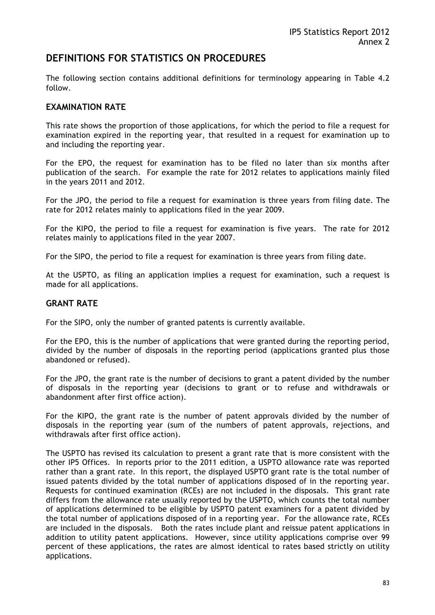### **DEFINITIONS FOR STATISTICS ON PROCEDURES**

The following section contains additional definitions for terminology appearing in Table 4.2 follow.

#### **EXAMINATION RATE**

This rate shows the proportion of those applications, for which the period to file a request for examination expired in the reporting year, that resulted in a request for examination up to and including the reporting year.

For the EPO, the request for examination has to be filed no later than six months after publication of the search. For example the rate for 2012 relates to applications mainly filed in the years 2011 and 2012.

For the JPO, the period to file a request for examination is three years from filing date. The rate for 2012 relates mainly to applications filed in the year 2009.

For the KIPO, the period to file a request for examination is five years. The rate for 2012 relates mainly to applications filed in the year 2007.

For the SIPO, the period to file a request for examination is three years from filing date.

At the USPTO, as filing an application implies a request for examination, such a request is made for all applications.

#### **GRANT RATE**

For the SIPO, only the number of granted patents is currently available.

For the EPO, this is the number of applications that were granted during the reporting period, divided by the number of disposals in the reporting period (applications granted plus those abandoned or refused).

For the JPO, the grant rate is the number of decisions to grant a patent divided by the number of disposals in the reporting year (decisions to grant or to refuse and withdrawals or abandonment after first office action).

For the KIPO, the grant rate is the number of patent approvals divided by the number of disposals in the reporting year (sum of the numbers of patent approvals, rejections, and withdrawals after first office action).

The USPTO has revised its calculation to present a grant rate that is more consistent with the other IP5 Offices. In reports prior to the 2011 edition, a USPTO allowance rate was reported rather than a grant rate. In this report, the displayed USPTO grant rate is the total number of issued patents divided by the total number of applications disposed of in the reporting year. Requests for continued examination (RCEs) are not included in the disposals. This grant rate differs from the allowance rate usually reported by the USPTO, which counts the total number of applications determined to be eligible by USPTO patent examiners for a patent divided by the total number of applications disposed of in a reporting year. For the allowance rate, RCEs are included in the disposals. Both the rates include plant and reissue patent applications in addition to utility patent applications. However, since utility applications comprise over 99 percent of these applications, the rates are almost identical to rates based strictly on utility applications.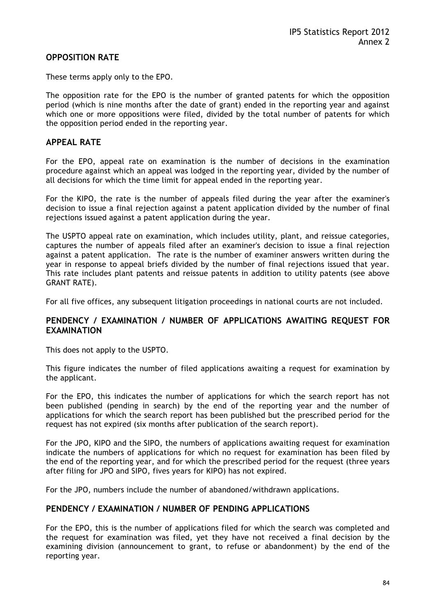#### **OPPOSITION RATE**

These terms apply only to the EPO.

The opposition rate for the EPO is the number of granted patents for which the opposition period (which is nine months after the date of grant) ended in the reporting year and against which one or more oppositions were filed, divided by the total number of patents for which the opposition period ended in the reporting year.

#### **APPEAL RATE**

For the EPO, appeal rate on examination is the number of decisions in the examination procedure against which an appeal was lodged in the reporting year, divided by the number of all decisions for which the time limit for appeal ended in the reporting year.

For the KIPO, the rate is the number of appeals filed during the year after the examiner's decision to issue a final rejection against a patent application divided by the number of final rejections issued against a patent application during the year.

The USPTO appeal rate on examination, which includes utility, plant, and reissue categories, captures the number of appeals filed after an examiner's decision to issue a final rejection against a patent application. The rate is the number of examiner answers written during the year in response to appeal briefs divided by the number of final rejections issued that year. This rate includes plant patents and reissue patents in addition to utility patents (see above GRANT RATE).

For all five offices, any subsequent litigation proceedings in national courts are not included.

### **PENDENCY / EXAMINATION / NUMBER OF APPLICATIONS AWAITING REQUEST FOR EXAMINATION**

This does not apply to the USPTO.

This figure indicates the number of filed applications awaiting a request for examination by the applicant.

For the EPO, this indicates the number of applications for which the search report has not been published (pending in search) by the end of the reporting year and the number of applications for which the search report has been published but the prescribed period for the request has not expired (six months after publication of the search report).

For the JPO, KIPO and the SIPO, the numbers of applications awaiting request for examination indicate the numbers of applications for which no request for examination has been filed by the end of the reporting year, and for which the prescribed period for the request (three years after filing for JPO and SIPO, fives years for KIPO) has not expired.

For the JPO, numbers include the number of abandoned/withdrawn applications.

#### **PENDENCY / EXAMINATION / NUMBER OF PENDING APPLICATIONS**

For the EPO, this is the number of applications filed for which the search was completed and the request for examination was filed, yet they have not received a final decision by the examining division (announcement to grant, to refuse or abandonment) by the end of the reporting year.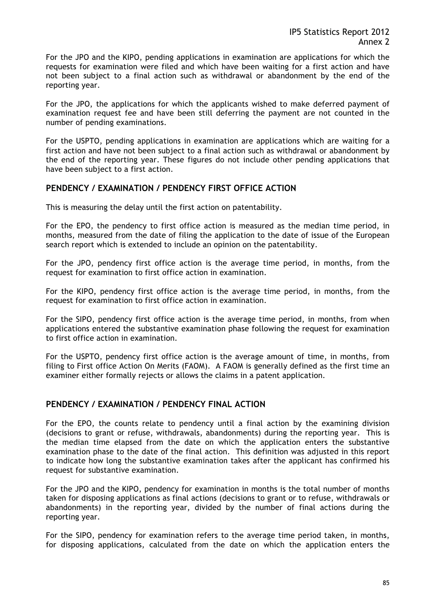For the JPO and the KIPO, pending applications in examination are applications for which the requests for examination were filed and which have been waiting for a first action and have not been subject to a final action such as withdrawal or abandonment by the end of the reporting year.

For the JPO, the applications for which the applicants wished to make deferred payment of examination request fee and have been still deferring the payment are not counted in the number of pending examinations.

For the USPTO, pending applications in examination are applications which are waiting for a first action and have not been subject to a final action such as withdrawal or abandonment by the end of the reporting year. These figures do not include other pending applications that have been subject to a first action.

#### **PENDENCY / EXAMINATION / PENDENCY FIRST OFFICE ACTION**

This is measuring the delay until the first action on patentability.

For the EPO, the pendency to first office action is measured as the median time period, in months, measured from the date of filing the application to the date of issue of the European search report which is extended to include an opinion on the patentability.

For the JPO, pendency first office action is the average time period, in months, from the request for examination to first office action in examination.

For the KIPO, pendency first office action is the average time period, in months, from the request for examination to first office action in examination.

For the SIPO, pendency first office action is the average time period, in months, from when applications entered the substantive examination phase following the request for examination to first office action in examination.

For the USPTO, pendency first office action is the average amount of time, in months, from filing to First office Action On Merits (FAOM). A FAOM is generally defined as the first time an examiner either formally rejects or allows the claims in a patent application.

#### **PENDENCY / EXAMINATION / PENDENCY FINAL ACTION**

For the EPO, the counts relate to pendency until a final action by the examining division (decisions to grant or refuse, withdrawals, abandonments) during the reporting year. This is the median time elapsed from the date on which the application enters the substantive examination phase to the date of the final action. This definition was adjusted in this report to indicate how long the substantive examination takes after the applicant has confirmed his request for substantive examination.

For the JPO and the KIPO, pendency for examination in months is the total number of months taken for disposing applications as final actions (decisions to grant or to refuse, withdrawals or abandonments) in the reporting year, divided by the number of final actions during the reporting year.

For the SIPO, pendency for examination refers to the average time period taken, in months, for disposing applications, calculated from the date on which the application enters the